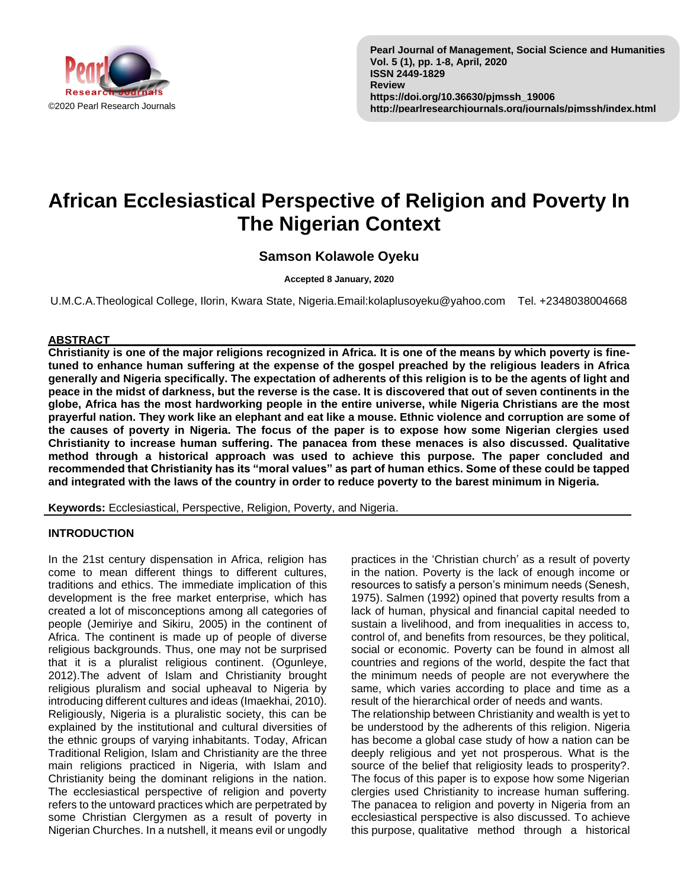

# **African Ecclesiastical Perspective of Religion and Poverty In The Nigerian Context**

# **Samson Kolawole Oyeku**

**Accepted 8 January, 2020**

U.M.C.A.Theological College, Ilorin, Kwara State, Nigeria.Email:kolaplusoyeku@yahoo.com Tel. +2348038004668

## **ABSTRACT**

**Christianity is one of the major religions recognized in Africa. It is one of the means by which poverty is finetuned to enhance human suffering at the expense of the gospel preached by the religious leaders in Africa generally and Nigeria specifically. The expectation of adherents of this religion is to be the agents of light and peace in the midst of darkness, but the reverse is the case. It is discovered that out of seven continents in the globe, Africa has the most hardworking people in the entire universe, while Nigeria Christians are the most prayerful nation. They work like an elephant and eat like a mouse. Ethnic violence and corruption are some of the causes of poverty in Nigeria. The focus of the paper is to expose how some Nigerian clergies used Christianity to increase human suffering. The panacea from these menaces is also discussed. Qualitative method through a historical approach was used to achieve this purpose. The paper concluded and recommended that Christianity has its "moral values" as part of human ethics. Some of these could be tapped and integrated with the laws of the country in order to reduce poverty to the barest minimum in Nigeria.**

**Keywords:** Ecclesiastical, Perspective, Religion, Poverty, and Nigeria.

## **INTRODUCTION**

In the 21st century dispensation in Africa, religion has come to mean different things to different cultures, traditions and ethics. The immediate implication of this development is the free market enterprise, which has created a lot of misconceptions among all categories of people (Jemiriye and Sikiru, 2005) in the continent of Africa. The continent is made up of people of diverse religious backgrounds. Thus, one may not be surprised that it is a pluralist religious continent. (Ogunleye, 2012).The advent of Islam and Christianity brought religious pluralism and social upheaval to Nigeria by introducing different cultures and ideas (Imaekhai, 2010). Religiously, Nigeria is a pluralistic society, this can be explained by the institutional and cultural diversities of the ethnic groups of varying inhabitants. Today, African Traditional Religion, Islam and Christianity are the three main religions practiced in Nigeria, with Islam and Christianity being the dominant religions in the nation. The ecclesiastical perspective of religion and poverty refers to the untoward practices which are perpetrated by some Christian Clergymen as a result of poverty in Nigerian Churches. In a nutshell, it means evil or ungodly

practices in the 'Christian church' as a result of poverty in the nation. Poverty is the lack of enough income or resources to satisfy a person's minimum needs (Senesh, 1975). Salmen (1992) opined that poverty results from a lack of human, physical and financial capital needed to sustain a livelihood, and from inequalities in access to, control of, and benefits from resources, be they political, social or economic. Poverty can be found in almost all countries and regions of the world, despite the fact that the minimum needs of people are not everywhere the same, which varies according to place and time as a result of the hierarchical order of needs and wants. The relationship between Christianity and wealth is yet to be understood by the adherents of this religion. Nigeria has become a global case study of how a nation can be deeply religious and yet not prosperous. What is the source of the belief that religiosity leads to prosperity?. The focus of this paper is to expose how some Nigerian clergies used Christianity to increase human suffering. The panacea to religion and poverty in Nigeria from an ecclesiastical perspective is also discussed. To achieve this purpose, qualitative method through a historical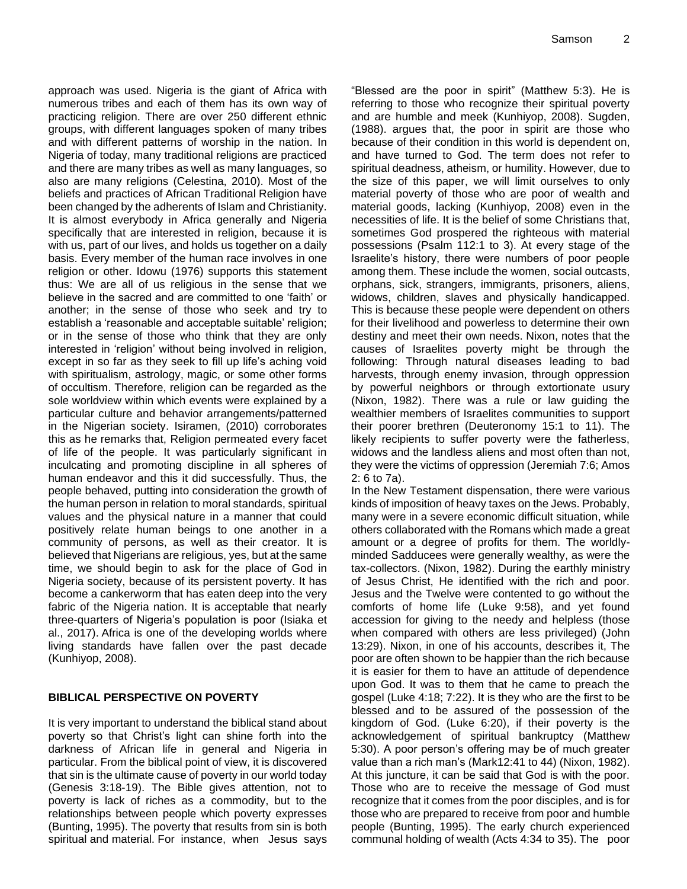approach was used. Nigeria is the giant of Africa with numerous tribes and each of them has its own way of practicing religion. There are over 250 different ethnic groups, with different languages spoken of many tribes and with different patterns of worship in the nation. In Nigeria of today, many traditional religions are practiced and there are many tribes as well as many languages, so also are many religions (Celestina, 2010). Most of the beliefs and practices of African Traditional Religion have been changed by the adherents of Islam and Christianity. It is almost everybody in Africa generally and Nigeria specifically that are interested in religion, because it is with us, part of our lives, and holds us together on a daily basis. Every member of the human race involves in one religion or other. Idowu (1976) supports this statement thus: We are all of us religious in the sense that we believe in the sacred and are committed to one 'faith' or another; in the sense of those who seek and try to establish a 'reasonable and acceptable suitable' religion; or in the sense of those who think that they are only interested in 'religion' without being involved in religion, except in so far as they seek to fill up life's aching void with spiritualism, astrology, magic, or some other forms of occultism. Therefore, religion can be regarded as the sole worldview within which events were explained by a particular culture and behavior arrangements/patterned in the Nigerian society. Isiramen, (2010) corroborates this as he remarks that, Religion permeated every facet of life of the people. It was particularly significant in inculcating and promoting discipline in all spheres of human endeavor and this it did successfully. Thus, the people behaved, putting into consideration the growth of the human person in relation to moral standards, spiritual values and the physical nature in a manner that could positively relate human beings to one another in a community of persons, as well as their creator. It is believed that Nigerians are religious, yes, but at the same time, we should begin to ask for the place of God in Nigeria society, because of its persistent poverty. It has become a cankerworm that has eaten deep into the very fabric of the Nigeria nation. It is acceptable that nearly three-quarters of Nigeria's population is poor (Isiaka et al., 2017). Africa is one of the developing worlds where living standards have fallen over the past decade (Kunhiyop, 2008).

#### **BIBLICAL PERSPECTIVE ON POVERTY**

It is very important to understand the biblical stand about poverty so that Christ's light can shine forth into the darkness of African life in general and Nigeria in particular. From the biblical point of view, it is discovered that sin is the ultimate cause of poverty in our world today (Genesis 3:18-19). The Bible gives attention, not to poverty is lack of riches as a commodity, but to the relationships between people which poverty expresses (Bunting, 1995). The poverty that results from sin is both spiritual and material. For instance, when Jesus says "Blessed are the poor in spirit" (Matthew 5:3). He is referring to those who recognize their spiritual poverty and are humble and meek (Kunhiyop, 2008). Sugden, (1988). argues that, the poor in spirit are those who because of their condition in this world is dependent on, and have turned to God. The term does not refer to spiritual deadness, atheism, or humility. However, due to the size of this paper, we will limit ourselves to only material poverty of those who are poor of wealth and material goods, lacking (Kunhiyop, 2008) even in the necessities of life. It is the belief of some Christians that, sometimes God prospered the righteous with material possessions (Psalm 112:1 to 3). At every stage of the Israelite's history, there were numbers of poor people among them. These include the women, social outcasts, orphans, sick, strangers, immigrants, prisoners, aliens, widows, children, slaves and physically handicapped. This is because these people were dependent on others for their livelihood and powerless to determine their own destiny and meet their own needs. Nixon, notes that the causes of Israelites poverty might be through the following: Through natural diseases leading to bad harvests, through enemy invasion, through oppression by powerful neighbors or through extortionate usury (Nixon, 1982). There was a rule or law guiding the wealthier members of Israelites communities to support their poorer brethren (Deuteronomy 15:1 to 11). The likely recipients to suffer poverty were the fatherless, widows and the landless aliens and most often than not, they were the victims of oppression (Jeremiah 7:6; Amos 2: 6 to 7a).

In the New Testament dispensation, there were various kinds of imposition of heavy taxes on the Jews. Probably, many were in a severe economic difficult situation, while others collaborated with the Romans which made a great amount or a degree of profits for them. The worldlyminded Sadducees were generally wealthy, as were the tax-collectors. (Nixon, 1982). During the earthly ministry of Jesus Christ, He identified with the rich and poor. Jesus and the Twelve were contented to go without the comforts of home life (Luke 9:58), and yet found accession for giving to the needy and helpless (those when compared with others are less privileged) (John 13:29). Nixon, in one of his accounts, describes it, The poor are often shown to be happier than the rich because it is easier for them to have an attitude of dependence upon God. It was to them that he came to preach the gospel (Luke 4:18; 7:22). It is they who are the first to be blessed and to be assured of the possession of the kingdom of God. (Luke 6:20), if their poverty is the acknowledgement of spiritual bankruptcy (Matthew 5:30). A poor person's offering may be of much greater value than a rich man's (Mark12:41 to 44) (Nixon, 1982). At this juncture, it can be said that God is with the poor. Those who are to receive the message of God must recognize that it comes from the poor disciples, and is for those who are prepared to receive from poor and humble people (Bunting, 1995). The early church experienced communal holding of wealth (Acts 4:34 to 35). The poor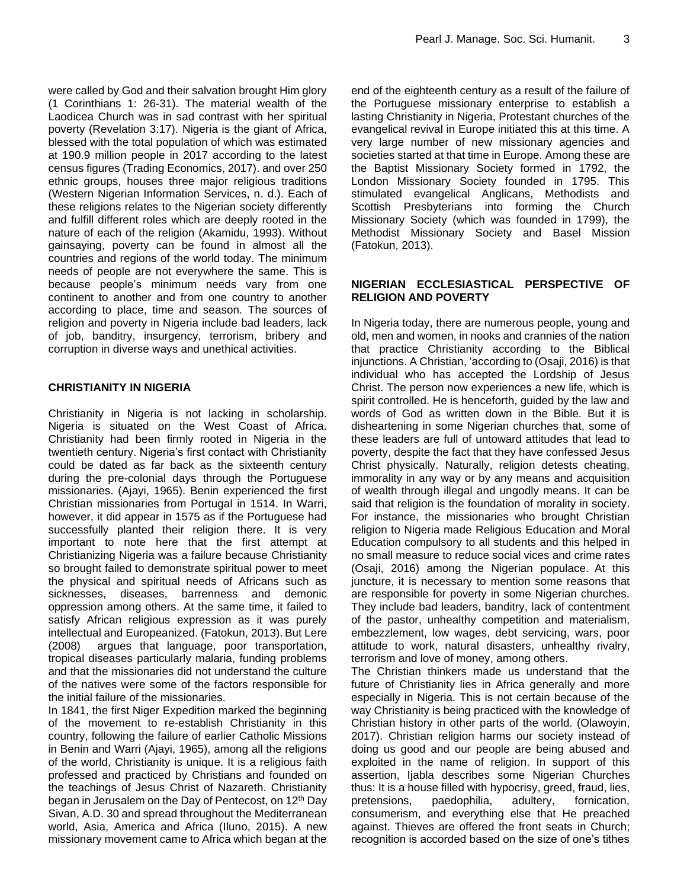were called by God and their salvation brought Him glory (1 Corinthians 1: 26-31). The material wealth of the Laodicea Church was in sad contrast with her spiritual poverty (Revelation 3:17). Nigeria is the giant of Africa, blessed with the total population of which was estimated at 190.9 million people in 2017 according to the latest census figures (Trading Economics, 2017). and over 250 ethnic groups, houses three major religious traditions (Western Nigerian Information Services, n. d.). Each of these religions relates to the Nigerian society differently and fulfill different roles which are deeply rooted in the nature of each of the religion (Akamidu, 1993). Without gainsaying, poverty can be found in almost all the countries and regions of the world today. The minimum needs of people are not everywhere the same. This is because people's minimum needs vary from one continent to another and from one country to another according to place, time and season. The sources of religion and poverty in Nigeria include bad leaders, lack of job, banditry, insurgency, terrorism, bribery and corruption in diverse ways and unethical activities.

## **CHRISTIANITY IN NIGERIA**

Christianity in Nigeria is not lacking in scholarship. Nigeria is situated on the West Coast of Africa. Christianity had been firmly rooted in Nigeria in the twentieth century. Nigeria's first contact with Christianity could be dated as far back as the sixteenth century during the pre-colonial days through the Portuguese missionaries. (Ajayi, 1965). Benin experienced the first Christian missionaries from Portugal in 1514. In Warri, however, it did appear in 1575 as if the Portuguese had successfully planted their religion there. It is very important to note here that the first attempt at Christianizing Nigeria was a failure because Christianity so brought failed to demonstrate spiritual power to meet the physical and spiritual needs of Africans such as sicknesses, diseases, barrenness and demonic oppression among others. At the same time, it failed to satisfy African religious expression as it was purely intellectual and Europeanized. (Fatokun, 2013). But Lere (2008) argues that language, poor transportation, tropical diseases particularly malaria, funding problems and that the missionaries did not understand the culture of the natives were some of the factors responsible for the initial failure of the missionaries.

In 1841, the first Niger Expedition marked the beginning of the movement to re-establish Christianity in this country, following the failure of earlier Catholic Missions in Benin and Warri (Ajayi, 1965), among all the religions of the world, Christianity is unique. It is a religious faith professed and practiced by Christians and founded on the teachings of Jesus Christ of Nazareth. Christianity began in Jerusalem on the Day of Pentecost, on 12th Day Sivan, A.D. 30 and spread throughout the Mediterranean world, Asia, America and Africa (Iluno, 2015). A new missionary movement came to Africa which began at the

end of the eighteenth century as a result of the failure of the Portuguese missionary enterprise to establish a lasting Christianity in Nigeria, Protestant churches of the evangelical revival in Europe initiated this at this time. A very large number of new missionary agencies and societies started at that time in Europe. Among these are the Baptist Missionary Society formed in 1792, the London Missionary Society founded in 1795. This stimulated evangelical Anglicans, Methodists and Scottish Presbyterians into forming the Church Missionary Society (which was founded in 1799), the Methodist Missionary Society and Basel Mission (Fatokun, 2013).

## **NIGERIAN ECCLESIASTICAL PERSPECTIVE OF RELIGION AND POVERTY**

In Nigeria today, there are numerous people, young and old, men and women, in nooks and crannies of the nation that practice Christianity according to the Biblical injunctions. A Christian, 'according to (Osaji, 2016) is that individual who has accepted the Lordship of Jesus Christ. The person now experiences a new life, which is spirit controlled. He is henceforth, guided by the law and words of God as written down in the Bible. But it is disheartening in some Nigerian churches that, some of these leaders are full of untoward attitudes that lead to poverty, despite the fact that they have confessed Jesus Christ physically. Naturally, religion detests cheating, immorality in any way or by any means and acquisition of wealth through illegal and ungodly means. It can be said that religion is the foundation of morality in society. For instance, the missionaries who brought Christian religion to Nigeria made Religious Education and Moral Education compulsory to all students and this helped in no small measure to reduce social vices and crime rates (Osaji, 2016) among the Nigerian populace. At this juncture, it is necessary to mention some reasons that are responsible for poverty in some Nigerian churches. They include bad leaders, banditry, lack of contentment of the pastor, unhealthy competition and materialism, embezzlement, low wages, debt servicing, wars, poor attitude to work, natural disasters, unhealthy rivalry, terrorism and love of money, among others.

The Christian thinkers made us understand that the future of Christianity lies in Africa generally and more especially in Nigeria. This is not certain because of the way Christianity is being practiced with the knowledge of Christian history in other parts of the world. (Olawoyin, 2017). Christian religion harms our society instead of doing us good and our people are being abused and exploited in the name of religion. In support of this assertion, Ijabla describes some Nigerian Churches thus: It is a house filled with hypocrisy, greed, fraud, lies, pretensions, paedophilia, adultery, fornication, consumerism, and everything else that He preached against. Thieves are offered the front seats in Church; recognition is accorded based on the size of one's tithes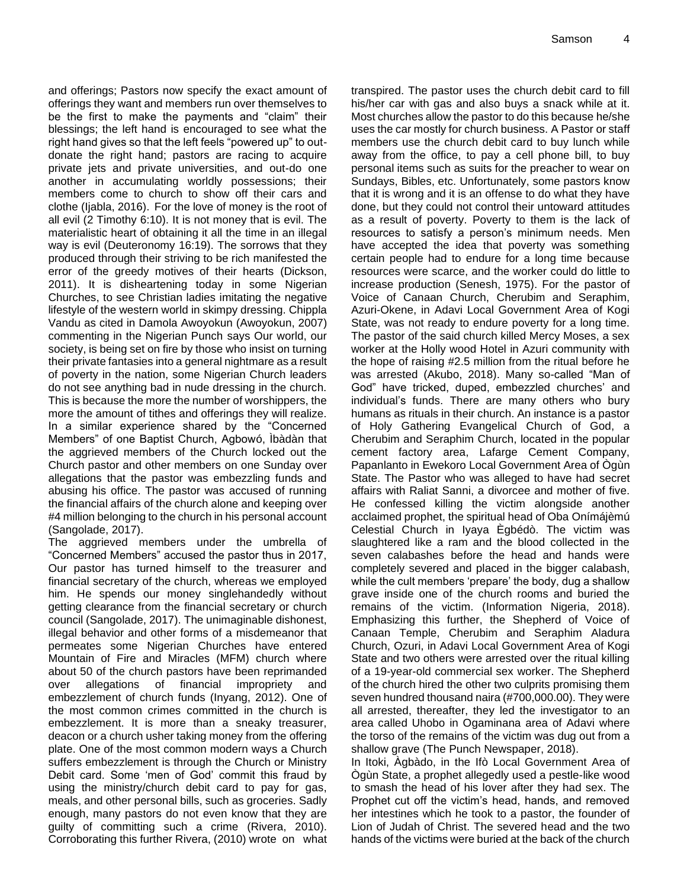and offerings; Pastors now specify the exact amount of offerings they want and members run over themselves to be the first to make the payments and "claim" their blessings; the left hand is encouraged to see what the right hand gives so that the left feels "powered up" to outdonate the right hand; pastors are racing to acquire private jets and private universities, and out-do one another in accumulating worldly possessions; their members come to church to show off their cars and clothe (Ijabla, 2016). For the love of money is the root of all evil (2 Timothy 6:10). It is not money that is evil. The materialistic heart of obtaining it all the time in an illegal way is evil (Deuteronomy 16:19). The sorrows that they produced through their striving to be rich manifested the error of the greedy motives of their hearts (Dickson, 2011). It is disheartening today in some Nigerian Churches, to see Christian ladies imitating the negative lifestyle of the western world in skimpy dressing. Chippla Vandu as cited in Damola Awoyokun (Awoyokun, 2007) commenting in the Nigerian Punch says Our world, our society, is being set on fire by those who insist on turning their private fantasies into a general nightmare as a result of poverty in the nation, some Nigerian Church leaders do not see anything bad in nude dressing in the church. This is because the more the number of worshippers, the more the amount of tithes and offerings they will realize. In a similar experience shared by the "Concerned Members" of one Baptist Church, Agbowó, Ìbàdàn that the aggrieved members of the Church locked out the Church pastor and other members on one Sunday over allegations that the pastor was embezzling funds and abusing his office. The pastor was accused of running the financial affairs of the church alone and keeping over #4 million belonging to the church in his personal account (Sangolade, 2017).

The aggrieved members under the umbrella of "Concerned Members" accused the pastor thus in 2017, Our pastor has turned himself to the treasurer and financial secretary of the church, whereas we employed him. He spends our money singlehandedly without getting clearance from the financial secretary or church council (Sangolade, 2017). The unimaginable dishonest, illegal behavior and other forms of a misdemeanor that permeates some Nigerian Churches have entered Mountain of Fire and Miracles (MFM) church where about 50 of the church pastors have been reprimanded over allegations of financial impropriety and embezzlement of church funds (Inyang, 2012). One of the most common crimes committed in the church is embezzlement. It is more than a sneaky treasurer, deacon or a church usher taking money from the offering plate. One of the most common modern ways a Church suffers embezzlement is through the Church or Ministry Debit card. Some 'men of God' commit this fraud by using the ministry/church debit card to pay for gas, meals, and other personal bills, such as groceries. Sadly enough, many pastors do not even know that they are guilty of committing such a crime (Rivera, 2010). Corroborating this further Rivera, (2010) wrote on what transpired. The pastor uses the church debit card to fill his/her car with gas and also buys a snack while at it. Most churches allow the pastor to do this because he/she uses the car mostly for church business. A Pastor or staff members use the church debit card to buy lunch while away from the office, to pay a cell phone bill, to buy personal items such as suits for the preacher to wear on Sundays, Bibles, etc. Unfortunately, some pastors know that it is wrong and it is an offense to do what they have done, but they could not control their untoward attitudes as a result of poverty. Poverty to them is the lack of resources to satisfy a person's minimum needs. Men have accepted the idea that poverty was something certain people had to endure for a long time because resources were scarce, and the worker could do little to increase production (Senesh, 1975). For the pastor of Voice of Canaan Church, Cherubim and Seraphim, Azuri-Okene, in Adavi Local Government Area of Kogi State, was not ready to endure poverty for a long time. The pastor of the said church killed Mercy Moses, a sex worker at the Holly wood Hotel in Azuri community with the hope of raising #2.5 million from the ritual before he was arrested (Akubo, 2018). Many so-called "Man of God" have tricked, duped, embezzled churches' and individual's funds. There are many others who bury humans as rituals in their church. An instance is a pastor of Holy Gathering Evangelical Church of God, a Cherubim and Seraphim Church, located in the popular cement factory area, Lafarge Cement Company, Papanlanto in Ewekoro Local Government Area of Ògùn State. The Pastor who was alleged to have had secret affairs with Raliat Sanni, a divorcee and mother of five. He confessed killing the victim alongside another acclaimed prophet, the spiritual head of Oba Onímájèmú Celestial Church in Iyaya Ègbédò. The victim was slaughtered like a ram and the blood collected in the seven calabashes before the head and hands were completely severed and placed in the bigger calabash, while the cult members 'prepare' the body, dug a shallow grave inside one of the church rooms and buried the remains of the victim. (Information Nigeria, 2018). Emphasizing this further, the Shepherd of Voice of Canaan Temple, Cherubim and Seraphim Aladura Church, Ozuri, in Adavi Local Government Area of Kogi State and two others were arrested over the ritual killing of a 19-year-old commercial sex worker. The Shepherd of the church hired the other two culprits promising them seven hundred thousand naira (#700,000.00). They were all arrested, thereafter, they led the investigator to an area called Uhobo in Ogaminana area of Adavi where the torso of the remains of the victim was dug out from a shallow grave (The Punch Newspaper, 2018).

In Itoki, Àgbàdo, in the Ifò Local Government Area of Ògùn State, a prophet allegedly used a pestle-like wood to smash the head of his lover after they had sex. The Prophet cut off the victim's head, hands, and removed her intestines which he took to a pastor, the founder of Lion of Judah of Christ. The severed head and the two hands of the victims were buried at the back of the church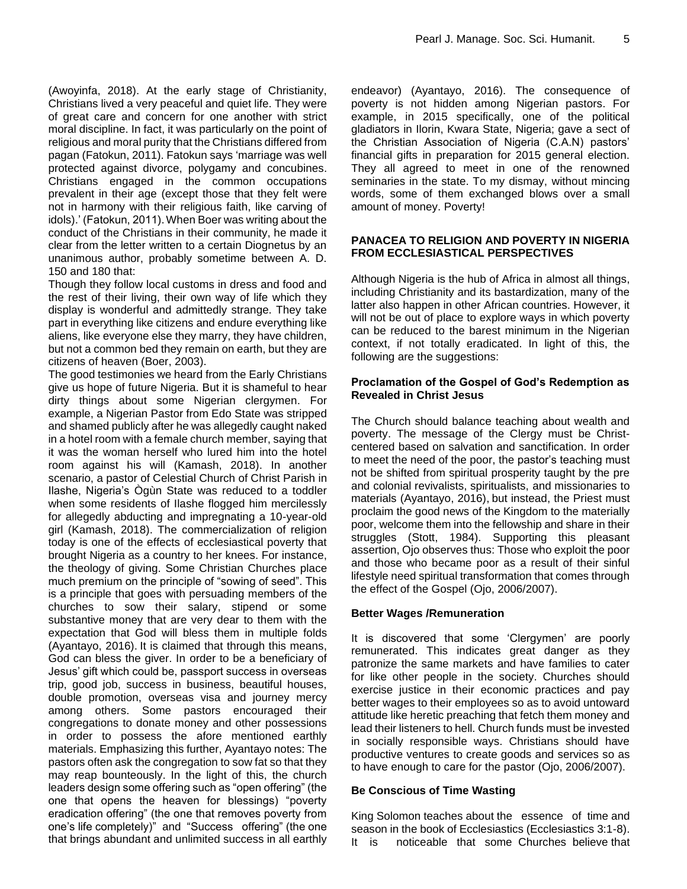(Awoyinfa, 2018). At the early stage of Christianity, Christians lived a very peaceful and quiet life. They were of great care and concern for one another with strict moral discipline. In fact, it was particularly on the point of religious and moral purity that the Christians differed from pagan (Fatokun, 2011). Fatokun says 'marriage was well protected against divorce, polygamy and concubines. Christians engaged in the common occupations prevalent in their age (except those that they felt were not in harmony with their religious faith, like carving of idols).' (Fatokun, 2011).When Boer was writing about the conduct of the Christians in their community, he made it clear from the letter written to a certain Diognetus by an unanimous author, probably sometime between A. D. 150 and 180 that:

Though they follow local customs in dress and food and the rest of their living, their own way of life which they display is wonderful and admittedly strange. They take part in everything like citizens and endure everything like aliens, like everyone else they marry, they have children, but not a common bed they remain on earth, but they are citizens of heaven (Boer, 2003).

The good testimonies we heard from the Early Christians give us hope of future Nigeria. But it is shameful to hear dirty things about some Nigerian clergymen. For example, a Nigerian Pastor from Edo State was stripped and shamed publicly after he was allegedly caught naked in a hotel room with a female church member, saying that it was the woman herself who lured him into the hotel room against his will (Kamash, 2018). In another scenario, a pastor of Celestial Church of Christ Parish in Ilashe, Nigeria's Ògùn State was reduced to a toddler when some residents of Ilashe flogged him mercilessly for allegedly abducting and impregnating a 10-year-old girl (Kamash, 2018). The commercialization of religion today is one of the effects of ecclesiastical poverty that brought Nigeria as a country to her knees. For instance, the theology of giving. Some Christian Churches place much premium on the principle of "sowing of seed". This is a principle that goes with persuading members of the churches to sow their salary, stipend or some substantive money that are very dear to them with the expectation that God will bless them in multiple folds (Ayantayo, 2016). It is claimed that through this means, God can bless the giver. In order to be a beneficiary of Jesus' gift which could be, passport success in overseas trip, good job, success in business, beautiful houses, double promotion, overseas visa and journey mercy among others. Some pastors encouraged their congregations to donate money and other possessions in order to possess the afore mentioned earthly materials. Emphasizing this further, Ayantayo notes: The pastors often ask the congregation to sow fat so that they may reap bounteously. In the light of this, the church leaders design some offering such as "open offering" (the one that opens the heaven for blessings) "poverty eradication offering" (the one that removes poverty from one's life completely)" and "Success offering" (the one that brings abundant and unlimited success in all earthly

endeavor) (Ayantayo, 2016). The consequence of poverty is not hidden among Nigerian pastors. For example, in 2015 specifically, one of the political gladiators in Ilorin, Kwara State, Nigeria; gave a sect of the Christian Association of Nigeria (C.A.N) pastors' financial gifts in preparation for 2015 general election. They all agreed to meet in one of the renowned seminaries in the state. To my dismay, without mincing words, some of them exchanged blows over a small amount of money. Poverty!

#### **PANACEA TO RELIGION AND POVERTY IN NIGERIA FROM ECCLESIASTICAL PERSPECTIVES**

Although Nigeria is the hub of Africa in almost all things, including Christianity and its bastardization, many of the latter also happen in other African countries. However, it will not be out of place to explore ways in which poverty can be reduced to the barest minimum in the Nigerian context, if not totally eradicated. In light of this, the following are the suggestions:

#### **Proclamation of the Gospel of God's Redemption as Revealed in Christ Jesus**

The Church should balance teaching about wealth and poverty. The message of the Clergy must be Christcentered based on salvation and sanctification. In order to meet the need of the poor, the pastor's teaching must not be shifted from spiritual prosperity taught by the pre and colonial revivalists, spiritualists, and missionaries to materials (Ayantayo, 2016), but instead, the Priest must proclaim the good news of the Kingdom to the materially poor, welcome them into the fellowship and share in their struggles (Stott, 1984). Supporting this pleasant assertion, Ojo observes thus: Those who exploit the poor and those who became poor as a result of their sinful lifestyle need spiritual transformation that comes through the effect of the Gospel (Ojo, 2006/2007).

#### **Better Wages /Remuneration**

It is discovered that some 'Clergymen' are poorly remunerated. This indicates great danger as they patronize the same markets and have families to cater for like other people in the society. Churches should exercise justice in their economic practices and pay better wages to their employees so as to avoid untoward attitude like heretic preaching that fetch them money and lead their listeners to hell. Church funds must be invested in socially responsible ways. Christians should have productive ventures to create goods and services so as to have enough to care for the pastor (Ojo, 2006/2007).

#### **Be Conscious of Time Wasting**

King Solomon teaches about the essence of time and season in the book of Ecclesiastics (Ecclesiastics 3:1-8). It is noticeable that some Churches believe that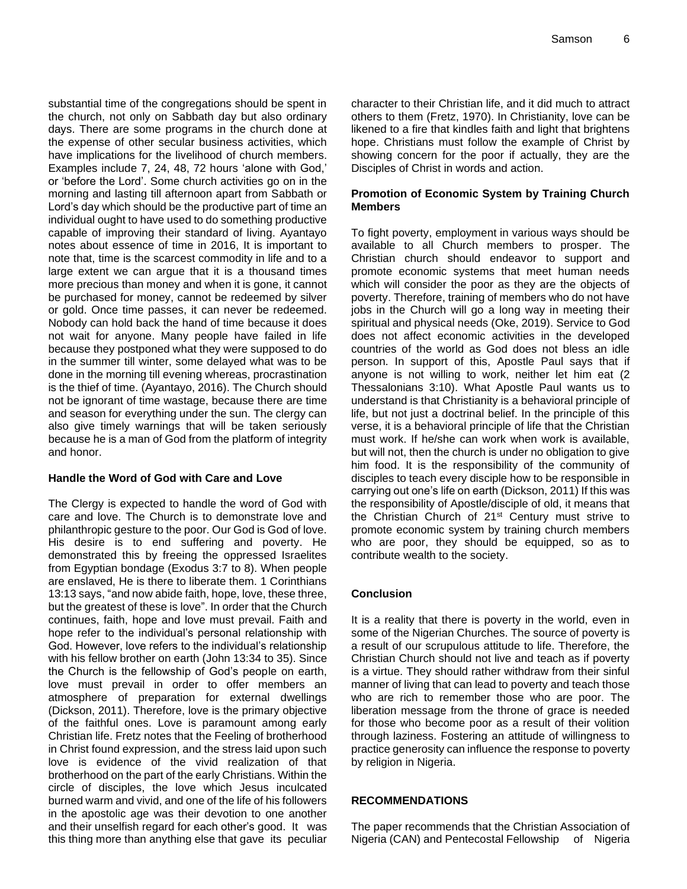substantial time of the congregations should be spent in the church, not only on Sabbath day but also ordinary days. There are some programs in the church done at the expense of other secular business activities, which have implications for the livelihood of church members. Examples include 7, 24, 48, 72 hours 'alone with God,' or 'before the Lord'. Some church activities go on in the morning and lasting till afternoon apart from Sabbath or Lord's day which should be the productive part of time an individual ought to have used to do something productive capable of improving their standard of living. Ayantayo notes about essence of time in 2016, It is important to note that, time is the scarcest commodity in life and to a large extent we can argue that it is a thousand times more precious than money and when it is gone, it cannot be purchased for money, cannot be redeemed by silver or gold. Once time passes, it can never be redeemed. Nobody can hold back the hand of time because it does not wait for anyone. Many people have failed in life because they postponed what they were supposed to do in the summer till winter, some delayed what was to be done in the morning till evening whereas, procrastination is the thief of time. (Ayantayo, 2016). The Church should not be ignorant of time wastage, because there are time and season for everything under the sun. The clergy can also give timely warnings that will be taken seriously because he is a man of God from the platform of integrity and honor.

# **Handle the Word of God with Care and Love**

The Clergy is expected to handle the word of God with care and love. The Church is to demonstrate love and philanthropic gesture to the poor. Our God is God of love. His desire is to end suffering and poverty. He demonstrated this by freeing the oppressed Israelites from Egyptian bondage (Exodus 3:7 to 8). When people are enslaved, He is there to liberate them. 1 Corinthians 13:13 says, "and now abide faith, hope, love, these three, but the greatest of these is love". In order that the Church continues, faith, hope and love must prevail. Faith and hope refer to the individual's personal relationship with God. However, love refers to the individual's relationship with his fellow brother on earth (John 13:34 to 35). Since the Church is the fellowship of God's people on earth, love must prevail in order to offer members an atmosphere of preparation for external dwellings (Dickson, 2011). Therefore, love is the primary objective of the faithful ones. Love is paramount among early Christian life. Fretz notes that the Feeling of brotherhood in Christ found expression, and the stress laid upon such love is evidence of the vivid realization of that brotherhood on the part of the early Christians. Within the circle of disciples, the love which Jesus inculcated burned warm and vivid, and one of the life of his followers in the apostolic age was their devotion to one another and their unselfish regard for each other's good. It was this thing more than anything else that gave its peculiar

character to their Christian life, and it did much to attract others to them (Fretz, 1970). In Christianity, love can be likened to a fire that kindles faith and light that brightens hope. Christians must follow the example of Christ by showing concern for the poor if actually, they are the Disciples of Christ in words and action.

## **Promotion of Economic System by Training Church Members**

To fight poverty, employment in various ways should be available to all Church members to prosper. The Christian church should endeavor to support and promote economic systems that meet human needs which will consider the poor as they are the objects of poverty. Therefore, training of members who do not have jobs in the Church will go a long way in meeting their spiritual and physical needs (Oke, 2019). Service to God does not affect economic activities in the developed countries of the world as God does not bless an idle person. In support of this, Apostle Paul says that if anyone is not willing to work, neither let him eat (2 Thessalonians 3:10). What Apostle Paul wants us to understand is that Christianity is a behavioral principle of life, but not just a doctrinal belief. In the principle of this verse, it is a behavioral principle of life that the Christian must work. If he/she can work when work is available, but will not, then the church is under no obligation to give him food. It is the responsibility of the community of disciples to teach every disciple how to be responsible in carrying out one's life on earth (Dickson, 2011) If this was the responsibility of Apostle/disciple of old, it means that the Christian Church of 21<sup>st</sup> Century must strive to promote economic system by training church members who are poor, they should be equipped, so as to contribute wealth to the society.

# **Conclusion**

It is a reality that there is poverty in the world, even in some of the Nigerian Churches. The source of poverty is a result of our scrupulous attitude to life. Therefore, the Christian Church should not live and teach as if poverty is a virtue. They should rather withdraw from their sinful manner of living that can lead to poverty and teach those who are rich to remember those who are poor. The liberation message from the throne of grace is needed for those who become poor as a result of their volition through laziness. Fostering an attitude of willingness to practice generosity can influence the response to poverty by religion in Nigeria.

# **RECOMMENDATIONS**

The paper recommends that the Christian Association of Nigeria (CAN) and Pentecostal Fellowship of Nigeria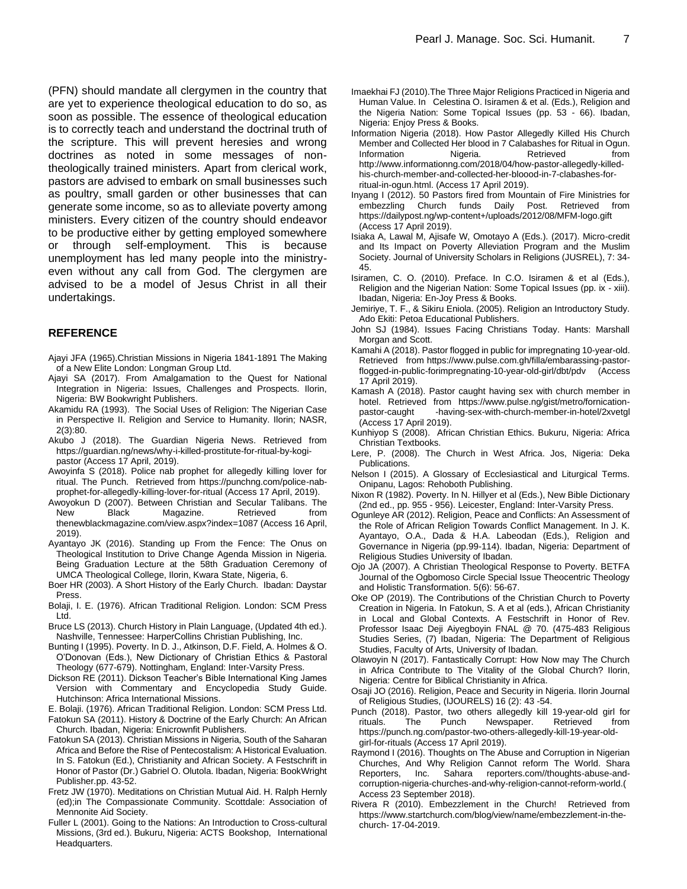(PFN) should mandate all clergymen in the country that are yet to experience theological education to do so, as soon as possible. The essence of theological education is to correctly teach and understand the doctrinal truth of the scripture. This will prevent heresies and wrong doctrines as noted in some messages of nontheologically trained ministers. Apart from clerical work, pastors are advised to embark on small businesses such as poultry, small garden or other businesses that can generate some income, so as to alleviate poverty among ministers. Every citizen of the country should endeavor to be productive either by getting employed somewhere or through self-employment. This is because unemployment has led many people into the ministryeven without any call from God. The clergymen are advised to be a model of Jesus Christ in all their undertakings.

#### **REFERENCE**

- Ajayi JFA (1965).Christian Missions in Nigeria 1841-1891 The Making of a New Elite London: Longman Group Ltd.
- Ajayi SA (2017). From Amalgamation to the Quest for National Integration in Nigeria: Issues, Challenges and Prospects. Ilorin, Nigeria: BW Bookwright Publishers.
- Akamidu RA (1993). The Social Uses of Religion: The Nigerian Case in Perspective II. Religion and Service to Humanity. Ilorin; NASR, 2(3):80.
- Akubo J (2018). The Guardian Nigeria News. Retrieved from https://guardian.ng/news/why-i-killed-prostitute-for-ritual-by-kogipastor (Access 17 April, 2019).
- Awoyinfa S (2018). Police nab prophet for allegedly killing lover for ritual. The Punch. Retrieved from https://punchng.com/police-nabprophet-for-allegedly-killing-lover-for-ritual (Access 17 April, 2019).
- Awoyokun D (2007). Between Christian and Secular Talibans. The New Black Magazine. Retrieved from thenewblackmagazine.com/view.aspx?index=1087 (Access 16 April, 2019).
- Ayantayo JK (2016). Standing up From the Fence: The Onus on Theological Institution to Drive Change Agenda Mission in Nigeria. Being Graduation Lecture at the 58th Graduation Ceremony of UMCA Theological College, Ilorin, Kwara State, Nigeria, 6.
- Boer HR (2003). A Short History of the Early Church. Ibadan: Daystar Press.
- Bolaji, I. E. (1976). African Traditional Religion. London: SCM Press Ltd.
- Bruce LS (2013). Church History in Plain Language, (Updated 4th ed.). Nashville, Tennessee: HarperCollins Christian Publishing, Inc.
- Bunting I (1995). Poverty. In D. J., Atkinson, D.F. Field, A. Holmes & O. O'Donovan (Eds.), New Dictionary of Christian Ethics & Pastoral Theology (677-679). Nottingham, England: Inter-Varsity Press.
- Dickson RE (2011). Dickson Teacher's Bible International King James Version with Commentary and Encyclopedia Study Guide. Hutchinson: Africa International Missions.
- E. Bolaji. (1976). African Traditional Religion. London: SCM Press Ltd.
- Fatokun SA (2011). History & Doctrine of the Early Church: An African Church. Ibadan, Nigeria: Enicrownfit Publishers.
- Fatokun SA (2013). Christian Missions in Nigeria, South of the Saharan Africa and Before the Rise of Pentecostalism: A Historical Evaluation. In S. Fatokun (Ed.), Christianity and African Society. A Festschrift in Honor of Pastor (Dr.) Gabriel O. Olutola. Ibadan, Nigeria: BookWright Publisher.pp. 43-52.
- Fretz JW (1970). Meditations on Christian Mutual Aid. H. Ralph Hernly (ed);in The Compassionate Community. Scottdale: Association of Mennonite Aid Society.
- Fuller L (2001). Going to the Nations: An Introduction to Cross-cultural Missions, (3rd ed.). Bukuru, Nigeria: ACTS Bookshop, International Headquarters.
- Imaekhai FJ (2010).The Three Major Religions Practiced in Nigeria and Human Value. In Celestina O. Isiramen & et al. (Eds.), Religion and the Nigeria Nation: Some Topical Issues (pp. 53 - 66). Ibadan, Nigeria: Enjoy Press & Books.
- Information Nigeria (2018). How Pastor Allegedly Killed His Church Member and Collected Her blood in 7 Calabashes for Ritual in Ogun. Information Nigeria. Retrieved from http://www.informationng.com/2018/04/how-pastor-allegedly-killedhis-church-member-and-collected-her-bloood-in-7-clabashes-forritual-in-ogun.html. (Access 17 April 2019).
- Inyang I (2012). 50 Pastors fired from Mountain of Fire Ministries for embezzling Church funds Daily Post. Retrieved from https://dailypost.ng/wp-content+/uploads/2012/08/MFM-logo.gift (Access 17 April 2019).
- Isiaka A, Lawal M, Ajisafe W, Omotayo A (Eds.). (2017). Micro-credit and Its Impact on Poverty Alleviation Program and the Muslim Society. Journal of University Scholars in Religions (JUSREL), 7: 34- 45.
- Isiramen, C. O. (2010). Preface. In C.O. Isiramen & et al (Eds.), Religion and the Nigerian Nation: Some Topical Issues (pp. ix - xiii). Ibadan, Nigeria: En-Joy Press & Books.
- Jemiriye, T. F., & Sikiru Eniola. (2005). Religion an Introductory Study. Ado Ekiti: Petoa Educational Publishers.
- John SJ (1984). Issues Facing Christians Today. Hants: Marshall Morgan and Scott.
- Kamahi A (2018). Pastor flogged in public for impregnating 10-year-old. Retrieved from https://www.pulse.com.gh/filla/embarassing-pastorflogged-in-public-forimpregnating-10-year-old-girl/dbt/pdv (Access 17 April 2019).
- Kamash A (2018). Pastor caught having sex with church member in hotel. Retrieved from https://www.pulse.ng/gist/metro/fornication-<br>pastor-caught -having-sex-with-church-member-in-hotel/2xvetgl -having-sex-with-church-member-in-hotel/2xvetgl (Access 17 April 2019).
- Kunhiyop S (2008). African Christian Ethics. Bukuru, Nigeria: Africa Christian Textbooks.
- Lere, P. (2008). The Church in West Africa. Jos, Nigeria: Deka Publications.
- Nelson I (2015). A Glossary of Ecclesiastical and Liturgical Terms. Onipanu, Lagos: Rehoboth Publishing.
- Nixon R (1982). Poverty. In N. Hillyer et al (Eds.), New Bible Dictionary (2nd ed., pp. 955 - 956). Leicester, England: Inter-Varsity Press.
- Ogunleye AR (2012). Religion, Peace and Conflicts: An Assessment of the Role of African Religion Towards Conflict Management. In J. K. Ayantayo, O.A., Dada & H.A. Labeodan (Eds.), Religion and Governance in Nigeria (pp.99-114). Ibadan, Nigeria: Department of Religious Studies University of Ibadan.
- Ojo JA (2007). A Christian Theological Response to Poverty. BETFA Journal of the Ogbomoso Circle Special Issue Theocentric Theology and Holistic Transformation. 5(6): 56-67.
- Oke OP (2019). The Contributions of the Christian Church to Poverty Creation in Nigeria. In Fatokun, S. A et al (eds.), African Christianity in Local and Global Contexts. A Festschrift in Honor of Rev. Professor Isaac Deji Aiyegboyin FNAL @ 70. (475-483 Religious Studies Series, (7) Ibadan, Nigeria: The Department of Religious Studies, Faculty of Arts, University of Ibadan.
- Olawoyin N (2017). Fantastically Corrupt: How Now may The Church in Africa Contribute to The Vitality of the Global Church? Ilorin, Nigeria: Centre for Biblical Christianity in Africa.
- Osaji JO (2016). Religion, Peace and Security in Nigeria. Ilorin Journal of Religious Studies, (IJOURELS) 16 (2): 43 -54.
- Punch (2018). Pastor, two others allegedly kill 19-year-old girl for rituals. The Punch Newspaper. Retrieved from https://punch.ng.com/pastor-two-others-allegedly-kill-19-year-oldgirl-for-rituals (Access 17 April 2019).
- Raymond I (2016). Thoughts on The Abuse and Corruption in Nigerian Churches, And Why Religion Cannot reform The World. Shara Reporters, Inc. Sahara reporters.com//thoughts-abuse-andcorruption-nigeria-churches-and-why-religion-cannot-reform-world.( Access 23 September 2018).
- Rivera R (2010). Embezzlement in the Church! Retrieved from https://www.startchurch.com/blog/view/name/embezzlement-in-thechurch- 17-04-2019.